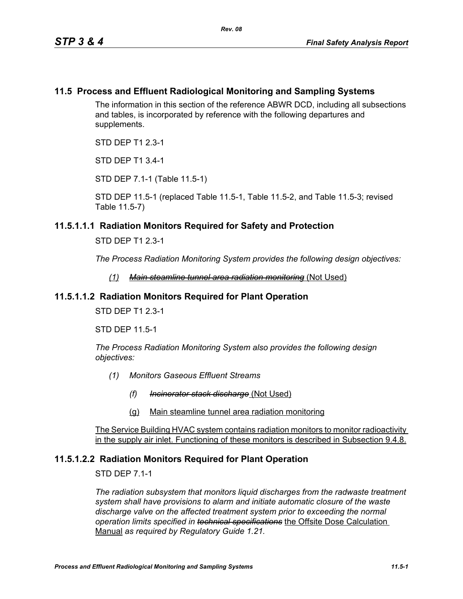#### **11.5 Process and Effluent Radiological Monitoring and Sampling Systems**

The information in this section of the reference ABWR DCD, including all subsections and tables, is incorporated by reference with the following departures and supplements.

STD DEP T1 2.3-1

STD DEP T1 3.4-1

STD DEP 7.1-1 (Table 11.5-1)

STD DEP 11.5-1 (replaced Table 11.5-1, Table 11.5-2, and Table 11.5-3; revised Table 11.5-7)

#### **11.5.1.1.1 Radiation Monitors Required for Safety and Protection**

STD DEP T1 2.3-1

*The Process Radiation Monitoring System provides the following design objectives:*

*(1) Main steamline tunnel area radiation monitoring* (Not Used)

#### **11.5.1.1.2 Radiation Monitors Required for Plant Operation**

STD DEP T1 2.3-1

STD DEP 11.5-1

*The Process Radiation Monitoring System also provides the following design objectives:*

- *(1) Monitors Gaseous Effluent Streams*
	- *(f) Incinerator stack discharge* (Not Used)
	- (g) Main steamline tunnel area radiation monitoring

The Service Building HVAC system contains radiation monitors to monitor radioactivity in the supply air inlet. Functioning of these monitors is described in Subsection 9.4.8.

#### **11.5.1.2.2 Radiation Monitors Required for Plant Operation**

STD DEP 7.1-1

*The radiation subsystem that monitors liquid discharges from the radwaste treatment system shall have provisions to alarm and initiate automatic closure of the waste discharge valve on the affected treatment system prior to exceeding the normal operation limits specified in technical specifications* the Offsite Dose Calculation Manual *as required by Regulatory Guide 1.21.*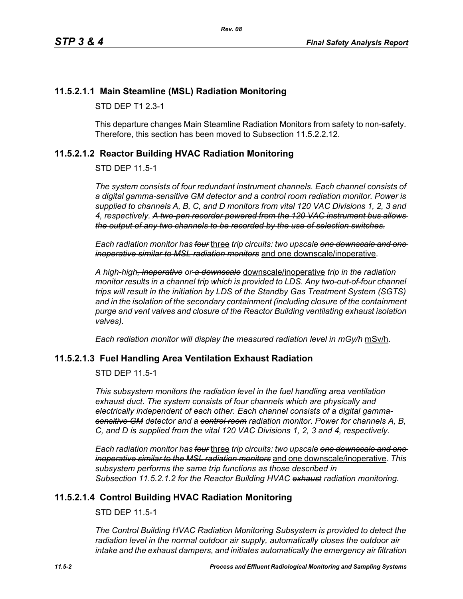## **11.5.2.1.1 Main Steamline (MSL) Radiation Monitoring**

STD DEP T1 2.3-1

This departure changes Main Steamline Radiation Monitors from safety to non-safety. Therefore, this section has been moved to Subsection 11.5.2.2.12.

## <span id="page-1-0"></span>**11.5.2.1.2 Reactor Building HVAC Radiation Monitoring**

STD DEP 11.5-1

*The system consists of four redundant instrument channels. Each channel consists of a digital gamma-sensitive GM detector and a control room radiation monitor. Power is supplied to channels A, B, C, and D monitors from vital 120 VAC Divisions 1, 2, 3 and 4, respectively. A two-pen recorder powered from the 120 VAC instrument bus allows the output of any two channels to be recorded by the use of selection switches.*

*Each radiation monitor has four* three *trip circuits: two upscale one downscale and one inoperative similar to MSL radiation monitors* and one downscale/inoperative.

*A high-high, inoperative or a downscale* downscale/inoperative *trip in the radiation monitor results in a channel trip which is provided to LDS. Any two-out-of-four channel trips will result in the initiation by LDS of the Standby Gas Treatment System (SGTS) and in the isolation of the secondary containment (including closure of the containment purge and vent valves and closure of the Reactor Building ventilating exhaust isolation valves).*

*Each radiation monitor will display the measured radiation level in mGy/h* mSv/h.

## **11.5.2.1.3 Fuel Handling Area Ventilation Exhaust Radiation**

STD DEP 11.5-1

*This subsystem monitors the radiation level in the fuel handling area ventilation exhaust duct. The system consists of four channels which are physically and electrically independent of each other. Each channel consists of a digital gammasensitive GM detector and a control room radiation monitor. Power for channels A, B, C, and D is supplied from the vital 120 VAC Divisions 1, 2, 3 and 4, respectively.*

*Each radiation monitor has four* three *trip circuits: two upscale one downscale and one inoperative similar to the MSL radiation monitors* and one downscale/inoperative. *This subsystem performs the same trip functions as those described in Subsection [11.5.2.1.2](#page-1-0) for the Reactor Building HVAC exhaust radiation monitoring.*

## **11.5.2.1.4 Control Building HVAC Radiation Monitoring**

STD DEP 11.5-1

*The Control Building HVAC Radiation Monitoring Subsystem is provided to detect the radiation level in the normal outdoor air supply, automatically closes the outdoor air intake and the exhaust dampers, and initiates automatically the emergency air filtration*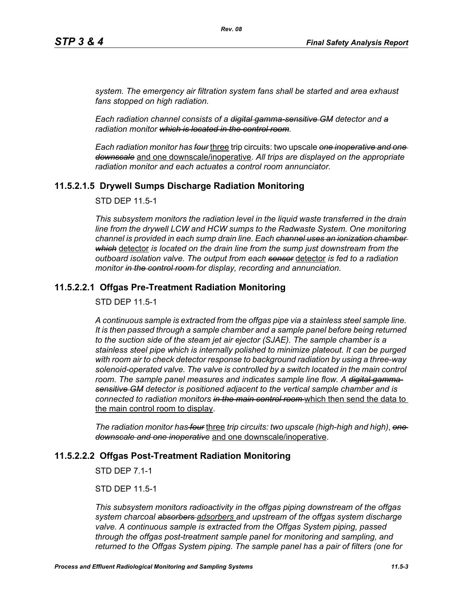*system. The emergency air filtration system fans shall be started and area exhaust fans stopped on high radiation.*

*Each radiation channel consists of a digital gamma-sensitive GM detector and a radiation monitor which is located in the control room.*

*Each radiation monitor has four* three trip circuits: two upscale *one inoperative and one downscale* and one downscale/inoperative. *All trips are displayed on the appropriate radiation monitor and each actuates a control room annunciator.*

## **11.5.2.1.5 Drywell Sumps Discharge Radiation Monitoring**

STD DEP 11.5-1

*This subsystem monitors the radiation level in the liquid waste transferred in the drain line from the drywell LCW and HCW sumps to the Radwaste System. One monitoring channel is provided in each sump drain line. Each channel uses an ionization chamber which* detector *is located on the drain line from the sump just downstream from the outboard isolation valve. The output from each sensor* detector *is fed to a radiation monitor in the control room for display, recording and annunciation.*

#### **11.5.2.2.1 Offgas Pre-Treatment Radiation Monitoring**

STD DEP 11.5-1

*A continuous sample is extracted from the offgas pipe via a stainless steel sample line. It is then passed through a sample chamber and a sample panel before being returned to the suction side of the steam jet air ejector (SJAE). The sample chamber is a stainless steel pipe which is internally polished to minimize plateout. It can be purged with room air to check detector response to background radiation by using a three-way*  solenoid-operated valve. The valve is controlled by a switch located in the main control room. The sample panel measures and indicates sample line flow. A <del>digital gamma</del>*sensitive GM detector is positioned adjacent to the vertical sample chamber and is connected to radiation monitors in the main control room* which then send the data to the main control room to display.

*The radiation monitor has four* three *trip circuits: two upscale (high-high and high)*, *one downscale and one inoperative* and one downscale/inoperative.

#### **11.5.2.2.2 Offgas Post-Treatment Radiation Monitoring**

STD DEP 7.1-1

STD DEP 11.5-1

*This subsystem monitors radioactivity in the offgas piping downstream of the offgas system charcoal absorbers adsorbers and upstream of the offgas system discharge valve. A continuous sample is extracted from the Offgas System piping, passed through the offgas post-treatment sample panel for monitoring and sampling, and returned to the Offgas System piping. The sample panel has a pair of filters (one for*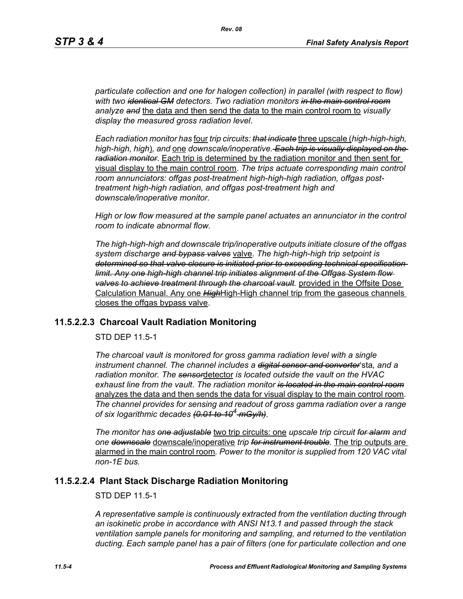*particulate collection and one for halogen collection) in parallel (with respect to flow) with two identical GM detectors. Two radiation monitors in the main control room analyze and* the data and then send the data to the main control room to *visually display the measured gross radiation level*.

*Each radiation monitor has* four *trip circuits: that indicate* three upscale (*high-high-high, high-high, high*)*, and* one *downscale/inoperative. Each trip is visually displayed on the radiation monitor*. Each trip is determined by the radiation monitor and then sent for visual display to the main control room. *The trips actuate corresponding main control room annunciators: offgas post-treatment high-high-high radiation, offgas posttreatment high-high radiation, and offgas post-treatment high and downscale/inoperative monitor.*

*High or low flow measured at the sample panel actuates an annunciator in the control room to indicate abnormal flow.*

*The high-high-high and downscale trip/inoperative outputs initiate closure of the offgas system discharge and bypass valves* valve. *The high-high-high trip setpoint is determined so that valve closure is initiated prior to exceeding technical specification limit. Any one high-high channel trip initiates alignment of the Offgas System flow valves to achieve treatment through the charcoal vault.* provided in the Offsite Dose Calculation Manual. Any one *High*High-High channel trip from the gaseous channels closes the offgas bypass valve.

#### **11.5.2.2.3 Charcoal Vault Radiation Monitoring**

STD DEP 11.5-1

*The charcoal vault is monitored for gross gamma radiation level with a single instrument channel. The channel includes a digital sensor and converter*'sta*, and a radiation monitor. The sensor*detector *is located outside the vault on the HVAC exhaust line from the vault*. *The radiation monitor is located in the main control room* analyzes the data and then sends the data for visual display to the main control room. *The channel provides for sensing and readout of gross gamma radiation over a range of six logarithmic decades (0.01 to 104 mGy/h)*.

*The monitor has one adjustable* two trip circuits: one *upscale trip circuit for alarm and one downscale* downscale/inoperative *trip for instrument trouble.* The trip outputs are alarmed in the main control room*. Power to the monitor is supplied from 120 VAC vital non-1E bus.*

#### **11.5.2.2.4 Plant Stack Discharge Radiation Monitoring**

STD DEP 11.5-1

*A representative sample is continuously extracted from the ventilation ducting through an isokinetic probe in accordance with ANSI N13.1 and passed through the stack ventilation sample panels for monitoring and sampling, and returned to the ventilation ducting. Each sample panel has a pair of filters (one for particulate collection and one*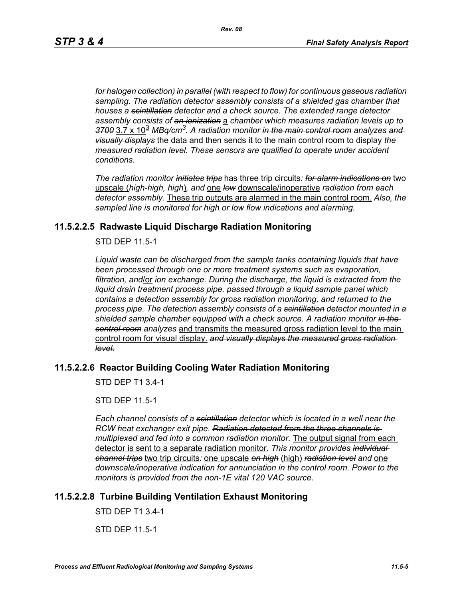*for halogen collection) in parallel (with respect to flow) for continuous gaseous radiation sampling. The radiation detector assembly consists of a shielded gas chamber that houses a scintillation detector and a check source. The extended range detector assembly consists of an ionization* a *chamber which measures radiation levels up to 3700* 3.7 x 10<sup>3</sup> *MBq/cm3. A radiation monitor in the main control room analyzes and visually displays* the data and then sends it to the main control room to display *the measured radiation level. These sensors are qualified to operate under accident conditions*.

*The radiation monitor initiates trips* has three trip circuits*: for alarm indications on* two upscale (*high-high, high*)*, and* one *low* downscale/inoperative *radiation from each detector assembly.* These trip outputs are alarmed in the main control room. *Also, the sampled line is monitored for high or low flow indications and alarming.*

#### **11.5.2.2.5 Radwaste Liquid Discharge Radiation Monitoring**

STD DEP 11.5-1

*Liquid waste can be discharged from the sample tanks containing liquids that have been processed through one or more treatment systems such as evaporation, filtration, and*/or *ion exchange. During the discharge, the liquid is extracted from the liquid drain treatment process pipe, passed through a liquid sample panel which contains a detection assembly for gross radiation monitoring, and returned to the process pipe. The detection assembly consists of a scintillation detector mounted in a shielded sample chamber equipped with a check source. A radiation monitor in the control room analyzes* and transmits the measured gross radiation level to the main control room for visual display. *and visually displays the measured gross radiation level.*

# **11.5.2.2.6 Reactor Building Cooling Water Radiation Monitoring**

STD DEP T1 3.4-1

STD DEP 11.5-1

*Each channel consists of a scintillation detector which is located in a well near the RCW heat exchanger exit pipe. Radiation detected from the three channels is multiplexed and fed into a common radiation monitor.* The output signal from each detector is sent to a separate radiation monitor*. This monitor provides individual channel trips* two trip circuits*:* one upscale *on high* (high) *radiation level and* one *downscale/inoperative indication for annunciation in the control room. Power to the monitors is provided from the non-1E vital 120 VAC source*.

## **11.5.2.2.8 Turbine Building Ventilation Exhaust Monitoring**

STD DEP T1 3.4-1

STD DEP 11.5-1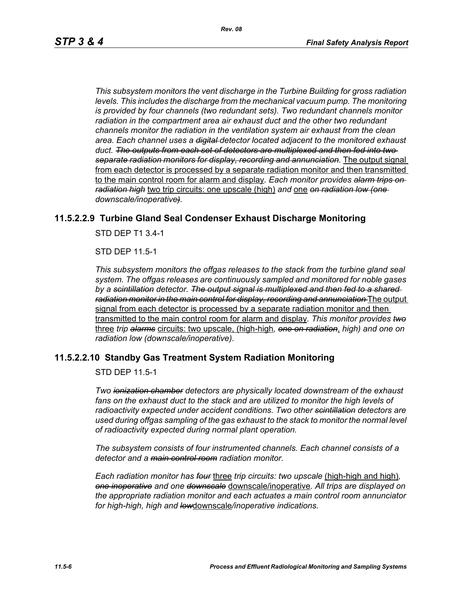*This subsystem monitors the vent discharge in the Turbine Building for gross radiation*  levels. This includes the discharge from the mechanical vacuum pump. The monitoring *is provided by four channels (two redundant sets). Two redundant channels monitor radiation in the compartment area air exhaust duct and the other two redundant channels monitor the radiation in the ventilation system air exhaust from the clean area. Each channel uses a digital detector located adjacent to the monitored exhaust duct. The outputs from each set of detectors are multiplexed and then fed into two separate radiation monitors for display, recording and annunciation.* The output signal from each detector is processed by a separate radiation monitor and then transmitted to the main control room for alarm and display*. Each monitor provides alarm trips on radiation high* two trip circuits: one upscale (high) *and* one *on radiation low (one downscale/inoperative).*

#### **11.5.2.2.9 Turbine Gland Seal Condenser Exhaust Discharge Monitoring**

STD DEP T1 3.4-1

STD DEP 11.5-1

*This subsystem monitors the offgas releases to the stack from the turbine gland seal system. The offgas releases are continuously sampled and monitored for noble gases by a scintillation detector. The output signal is multiplexed and then fed to a shared radiation monitor in the main control for display, recording and annunciation* The output signal from each detector is processed by a separate radiation monitor and then transmitted to the main control room for alarm and display*. This monitor provides two* three *trip alarms* circuits: two upscale, (high-high*, one on radiation*, *high) and one on radiation low (downscale/inoperative)*.

#### **11.5.2.2.10 Standby Gas Treatment System Radiation Monitoring**

STD DEP 11.5-1

*Two ionization chamber detectors are physically located downstream of the exhaust*  fans on the exhaust duct to the stack and are utilized to monitor the high levels of *radioactivity expected under accident conditions. Two other scintillation detectors are used during offgas sampling of the gas exhaust to the stack to monitor the normal level of radioactivity expected during normal plant operation.*

*The subsystem consists of four instrumented channels. Each channel consists of a detector and a main control room radiation monitor.*

*Each radiation monitor has four* three *trip circuits: two upscale* (high-high and high)*, one inoperative and one downscale* downscale/inoperative*. All trips are displayed on the appropriate radiation monitor and each actuates a main control room annunciator for high-high, high and low*downscale*/inoperative indications.*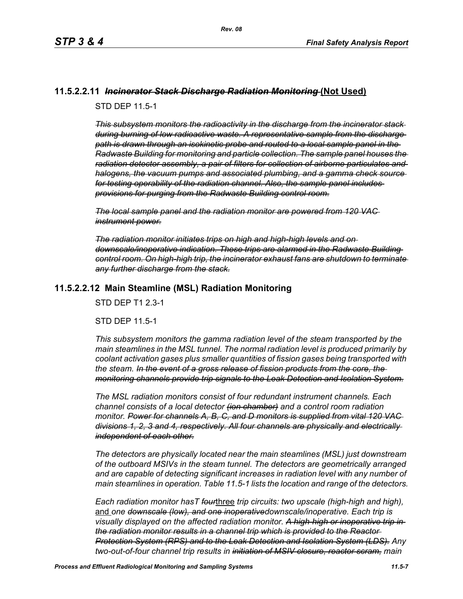#### **11.5.2.2.11** *Incinerator Stack Discharge Radiation Monitoring* **(Not Used)**

STD DEP 11.5-1

*This subsystem monitors the radioactivity in the discharge from the incinerator stack during burning of low radioactive waste. A representative sample from the discharge path is drawn through an isokinetic probe and routed to a local sample panel in the Radwaste Building for monitoring and particle collection. The sample panel houses the radiation detector assembly, a pair of filters for collection of airborne particulates and halogens, the vacuum pumps and associated plumbing, and a gamma check source for testing operability of the radiation channel. Also, the sample panel includes provisions for purging from the Radwaste Building control room.*

*The local sample panel and the radiation monitor are powered from 120 VAC instrument power.*

*The radiation monitor initiates trips on high and high-high levels and on downscale/inoperative indication. These trips are alarmed in the Radwaste Building control room. On high-high trip, the incinerator exhaust fans are shutdown to terminate any further discharge from the stack.*

## **11.5.2.2.12 Main Steamline (MSL) Radiation Monitoring**

STD DEP T1 2.3-1

STD DEP 11.5-1

*This subsystem monitors the gamma radiation level of the steam transported by the main steamlines in the MSL tunnel. The normal radiation level is produced primarily by coolant activation gases plus smaller quantities of fission gases being transported with the steam. In the event of a gross release of fission products from the core, the monitoring channels provide trip signals to the Leak Detection and Isolation System.*

*The MSL radiation monitors consist of four redundant instrument channels. Each channel consists of a local detector (ion chamber) and a control room radiation monitor. Power for channels A, B, C, and D monitors is supplied from vital 120 VAC divisions 1, 2, 3 and 4, respectively. All four channels are physically and electrically independent of each other.*

*The detectors are physically located near the main steamlines (MSL) just downstream of the outboard MSIVs in the steam tunnel. The detectors are geometrically arranged and are capable of detecting significant increases in radiation level with any number of main steamlines in operation. Table 11.5-1 lists the location and range of the detectors.*

*Each radiation monitor hasT four*three *trip circuits: two upscale (high-high and high),*  and *one downscale (low), and one inoperativedownscale/inoperative. Each trip is visually displayed on the affected radiation monitor. A high-high or inoperative trip in the radiation monitor results in a channel trip which is provided to the Reactor Protection System (RPS) and to the Leak Detection and Isolation System (LDS). Any two-out-of-four channel trip results in initiation of MSIV closure, reactor scram, main*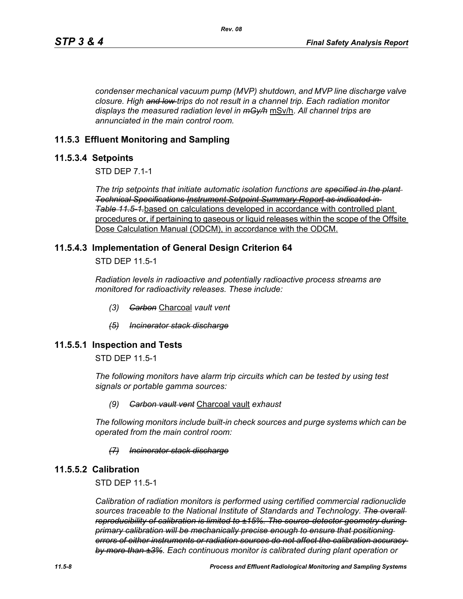*condenser mechanical vacuum pump (MVP) shutdown, and MVP line discharge valve closure. High and low trips do not result in a channel trip. Each radiation monitor displays the measured radiation level in mGy/h* mSv/h. *All channel trips are annunciated in the main control room.*

## **11.5.3 Effluent Monitoring and Sampling**

#### **11.5.3.4 Setpoints**

STD DEP 7.1-1

*The trip setpoints that initiate automatic isolation functions are specified in the plant Technical Specifications Instrument Setpoint Summary Report as indicated in Table [11.5-1.](#page-12-0)*based on calculations developed in accordance with controlled plant procedures or, if pertaining to gaseous or liquid releases within the scope of the Offsite Dose Calculation Manual (ODCM), in accordance with the ODCM.

## **11.5.4.3 Implementation of General Design Criterion 64**

STD DEP 11.5-1

*Radiation levels in radioactive and potentially radioactive process streams are monitored for radioactivity releases. These include:*

- *(3) Carbon* Charcoal *vault vent*
- *(5) Incinerator stack discharge*

## **11.5.5.1 Inspection and Tests**

STD DEP 11.5-1

*The following monitors have alarm trip circuits which can be tested by using test signals or portable gamma sources:*

#### *(9) Carbon vault vent* Charcoal vault *exhaust*

*The following monitors include built-in check sources and purge systems which can be operated from the main control room:*

#### *(7) Incinerator stack discharge*

## **11.5.5.2 Calibration**

STD DEP 11.5-1

*Calibration of radiation monitors is performed using certified commercial radionuclide sources traceable to the National Institute of Standards and Technology. The overall reproducibility of calibration is limited to ±15%. The source-detector geometry during primary calibration will be mechanically precise enough to ensure that positioning errors of either instruments or radiation sources do not affect the calibration accuracy by more than ±3%. Each continuous monitor is calibrated during plant operation or*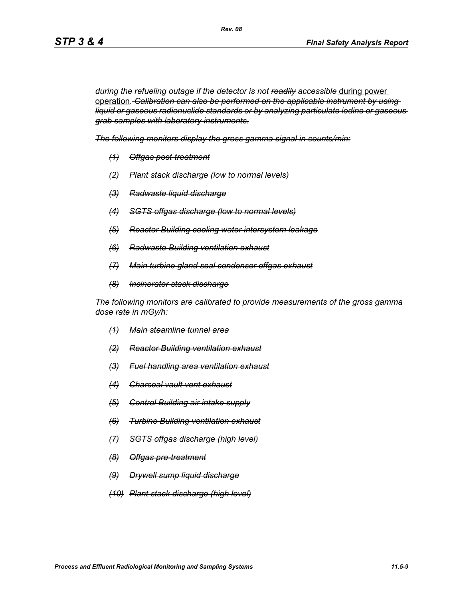during the refueling outage if the detector is not readily accessible during power operation*. Calibration can also be performed on the applicable instrument by using liquid or gaseous radionuclide standards or by analyzing particulate iodine or gaseous grab samples with laboratory instruments.*

*The following monitors display the gross gamma signal in counts/min:*

*Rev. 08*

- *(1) Offgas post-treatment*
- *(2) Plant stack discharge (low to normal levels)*
- *(3) Radwaste liquid discharge*
- *(4) SGTS offgas discharge (low to normal levels)*
- *(5) Reactor Building cooling water intersystem leakage*
- *(6) Radwaste Building ventilation exhaust*
- *(7) Main turbine gland seal condenser offgas exhaust*
- *(8) Incinerator stack discharge*

*The following monitors are calibrated to provide measurements of the gross gamma dose rate in mGy/h:*

- *(1) Main steamline tunnel area*
- *(2) Reactor Building ventilation exhaust*
- *(3) Fuel handling area ventilation exhaust*
- *(4) Charcoal vault vent exhaust*
- *(5) Control Building air intake supply*
- *(6) Turbine Building ventilation exhaust*
- *(7) SGTS offgas discharge (high level)*
- *(8) Offgas pre-treatment*
- *(9) Drywell sump liquid discharge*
- *(10) Plant stack discharge (high level)*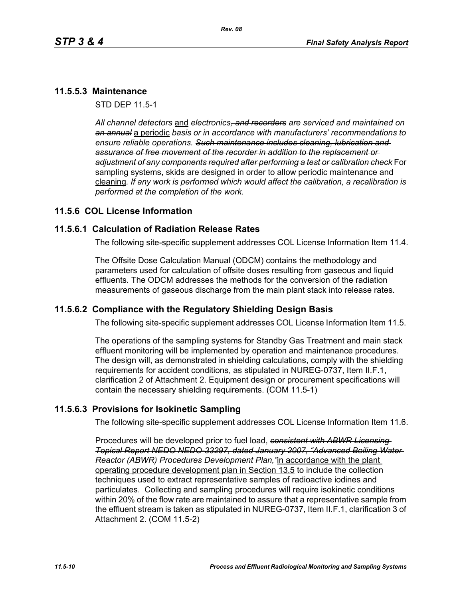## **11.5.5.3 Maintenance**

STD DEP 11.5-1

*All channel detectors* and *electronics, and recorders are serviced and maintained on an annual* a periodic *basis or in accordance with manufacturers' recommendations to ensure reliable operations. Such maintenance includes cleaning, lubrication and assurance of free movement of the recorder in addition to the replacement or adjustment of any components required after performing a test or calibration check* For sampling systems, skids are designed in order to allow periodic maintenance and cleaning*. If any work is performed which would affect the calibration, a recalibration is performed at the completion of the work.*

## **11.5.6 COL License Information**

## **11.5.6.1 Calculation of Radiation Release Rates**

The following site-specific supplement addresses COL License Information Item 11.4.

The Offsite Dose Calculation Manual (ODCM) contains the methodology and parameters used for calculation of offsite doses resulting from gaseous and liquid effluents. The ODCM addresses the methods for the conversion of the radiation measurements of gaseous discharge from the main plant stack into release rates.

## **11.5.6.2 Compliance with the Regulatory Shielding Design Basis**

The following site-specific supplement addresses COL License Information Item 11.5.

The operations of the sampling systems for Standby Gas Treatment and main stack effluent monitoring will be implemented by operation and maintenance procedures. The design will, as demonstrated in shielding calculations, comply with the shielding requirements for accident conditions, as stipulated in NUREG-0737, Item II.F.1, clarification 2 of Attachment 2. Equipment design or procurement specifications will contain the necessary shielding requirements. (COM 11.5-1)

## **11.5.6.3 Provisions for Isokinetic Sampling**

The following site-specific supplement addresses COL License Information Item 11.6.

Procedures will be developed prior to fuel load, *consistent with ABWR Licensing Topical Report NEDO NEDO-33297, dated January 2007, "Advanced Boiling Water Reactor (ABWR) Procedures Development Plan,"*in accordance with the plant operating procedure development plan in Section 13.5 to include the collection techniques used to extract representative samples of radioactive iodines and particulates. Collecting and sampling procedures will require isokinetic conditions within 20% of the flow rate are maintained to assure that a representative sample from the effluent stream is taken as stipulated in NUREG-0737, Item II.F.1, clarification 3 of Attachment 2. (COM 11.5-2)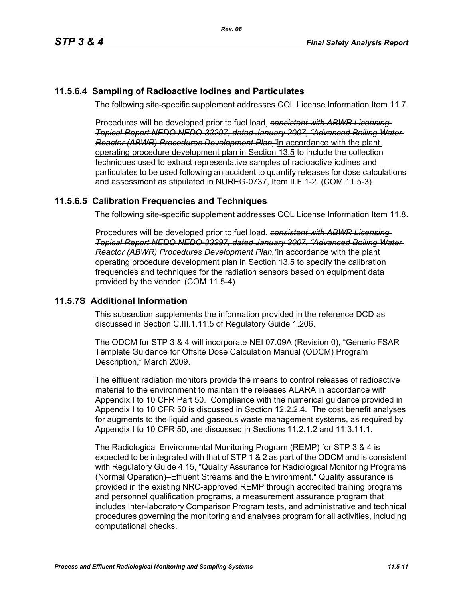# **11.5.6.4 Sampling of Radioactive Iodines and Particulates**

The following site-specific supplement addresses COL License Information Item 11.7.

Procedures will be developed prior to fuel load, *consistent with ABWR Licensing Topical Report NEDO NEDO-33297, dated January 2007, "Advanced Boiling Water Reactor (ABWR) Procedures Development Plan,"*in accordance with the plant operating procedure development plan in Section 13.5 to include the collection techniques used to extract representative samples of radioactive iodines and particulates to be used following an accident to quantify releases for dose calculations and assessment as stipulated in NUREG-0737, Item II.F.1-2. (COM 11.5-3)

# **11.5.6.5 Calibration Frequencies and Techniques**

The following site-specific supplement addresses COL License Information Item 11.8.

Procedures will be developed prior to fuel load, *consistent with ABWR Licensing Topical Report NEDO NEDO-33297, dated January 2007, "Advanced Boiling Water Reactor (ABWR) Procedures Development Plan,"*in accordance with the plant operating procedure development plan in Section 13.5 to specify the calibration frequencies and techniques for the radiation sensors based on equipment data provided by the vendor. (COM 11.5-4)

## **11.5.7S Additional Information**

This subsection supplements the information provided in the reference DCD as discussed in Section C.III.1.11.5 of Regulatory Guide 1.206.

The ODCM for STP 3 & 4 will incorporate NEI 07.09A (Revision 0), "Generic FSAR Template Guidance for Offsite Dose Calculation Manual (ODCM) Program Description," March 2009.

The effluent radiation monitors provide the means to control releases of radioactive material to the environment to maintain the releases ALARA in accordance with Appendix I to 10 CFR Part 50. Compliance with the numerical guidance provided in Appendix I to 10 CFR 50 is discussed in Section 12.2.2.4. The cost benefit analyses for augments to the liquid and gaseous waste management systems, as required by Appendix I to 10 CFR 50, are discussed in Sections 11.2.1.2 and 11.3.11.1.

The Radiological Environmental Monitoring Program (REMP) for STP 3 & 4 is expected to be integrated with that of STP 1 & 2 as part of the ODCM and is consistent with Regulatory Guide 4.15, "Quality Assurance for Radiological Monitoring Programs (Normal Operation)–Effluent Streams and the Environment." Quality assurance is provided in the existing NRC-approved REMP through accredited training programs and personnel qualification programs, a measurement assurance program that includes Inter-laboratory Comparison Program tests, and administrative and technical procedures governing the monitoring and analyses program for all activities, including computational checks.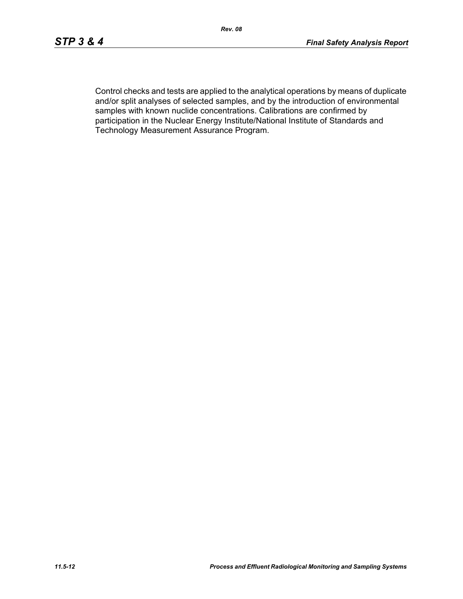Control checks and tests are applied to the analytical operations by means of duplicate and/or split analyses of selected samples, and by the introduction of environmental samples with known nuclide concentrations. Calibrations are confirmed by participation in the Nuclear Energy Institute/National Institute of Standards and Technology Measurement Assurance Program.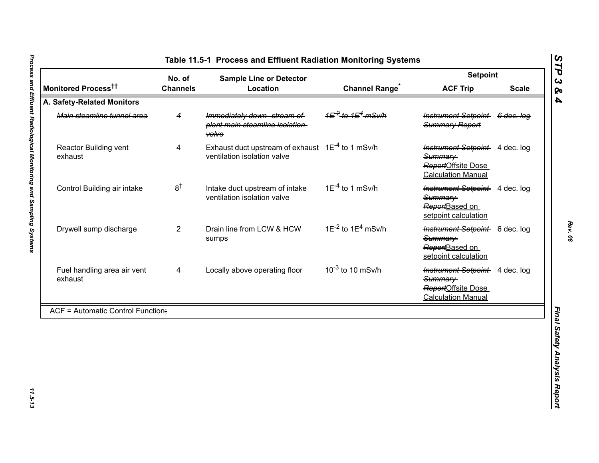<span id="page-12-0"></span>

|                                          | No. of          | <b>Sample Line or Detector</b>                                                              |                                                     | <b>Setpoint</b>                                                                              |              |
|------------------------------------------|-----------------|---------------------------------------------------------------------------------------------|-----------------------------------------------------|----------------------------------------------------------------------------------------------|--------------|
| Monitored Process <sup>††</sup>          | <b>Channels</b> | Location                                                                                    | <b>Channel Range<sup>®</sup></b>                    | <b>ACF Trip</b>                                                                              | <b>Scale</b> |
| A. Safety-Related Monitors               |                 |                                                                                             |                                                     |                                                                                              |              |
| Main steamline tunnel area               | 4               | Immediately down-stream of<br>plant main steamline isolation-<br><b>valve</b>               | 1 <del>E<sup>-2</sup> to 1E<sup>4</sup> mSv/h</del> | Instrument Setpoint 6 dec. log<br>Summary Report                                             |              |
| Reactor Building vent<br>exhaust         | 4               | Exhaust duct upstream of exhaust 1E <sup>-4</sup> to 1 mSv/h<br>ventilation isolation valve |                                                     | Instrument Setpoint 4 dec. log<br>Summary<br>ReportOffsite Dose<br><b>Calculation Manual</b> |              |
| Control Building air intake              | 8 <sup>†</sup>  | Intake duct upstream of intake<br>ventilation isolation valve                               | $1E^{-4}$ to 1 mSv/h                                | <b>Instrument Setpoint</b> 4 dec. log<br>Summary<br>ReportBased on<br>setpoint calculation   |              |
| Drywell sump discharge                   | $\overline{2}$  | Drain line from LCW & HCW<br>sumps                                                          | $1E^{-2}$ to $1E^{4}$ mSv/h                         | Instrument Setpoint 6 dec. log<br>Summary-<br>ReportBased on<br>setpoint calculation         |              |
| Fuel handling area air vent<br>exhaust   | 4               | Locally above operating floor                                                               | $10^{-3}$ to 10 mSv/h                               | Instrument Setpoint 4 dec. log<br>Summary<br>ReportOffsite Dose<br><b>Calculation Manual</b> |              |
| <b>ACF = Automatic Control Function;</b> |                 |                                                                                             |                                                     |                                                                                              |              |

*Rev. 08*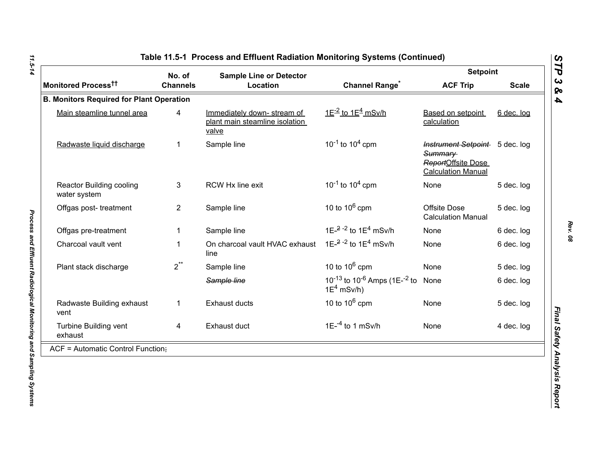|                                                 | No. of                                                                     | <b>Sample Line or Detector</b>         |                                                                                   |                                                                                              | <b>Setpoint</b> |  |
|-------------------------------------------------|----------------------------------------------------------------------------|----------------------------------------|-----------------------------------------------------------------------------------|----------------------------------------------------------------------------------------------|-----------------|--|
| Monitored Process <sup>tt</sup>                 | <b>Channels</b>                                                            | Location                               | <b>Channel Range<sup>*</sup></b>                                                  | <b>ACF Trip</b>                                                                              | <b>Scale</b>    |  |
| <b>B. Monitors Required for Plant Operation</b> |                                                                            |                                        |                                                                                   |                                                                                              |                 |  |
| Main steamline tunnel area                      | Immediately down-stream of<br>4<br>plant main steamline isolation<br>valve |                                        | $1E^{-2}$ to $1E^{4}$ mSv/h                                                       | Based on setpoint<br>calculation                                                             | 6 dec. log      |  |
| Radwaste liquid discharge                       | $\mathbf 1$                                                                | Sample line                            | $10^{-1}$ to $10^{4}$ cpm                                                         | Instrument Setpoint 5 dec. log<br>Summary<br>ReportOffsite Dose<br><b>Calculation Manual</b> |                 |  |
| Reactor Building cooling<br>water system        | 3                                                                          | RCW Hx line exit                       | $10^{-1}$ to $10^{4}$ cpm                                                         | None                                                                                         | 5 dec. log      |  |
| Offgas post-treatment                           | $\overline{2}$                                                             | Sample line                            | 10 to $10^6$ cpm                                                                  | Offsite Dose<br><b>Calculation Manual</b>                                                    | 5 dec. log      |  |
| Offgas pre-treatment                            |                                                                            | Sample line                            | 1E- $^{2}$ - $^{2}$ to 1E <sup>4</sup> mSv/h                                      | None                                                                                         | 6 dec. log      |  |
| Charcoal vault vent                             | $\mathbf 1$                                                                | On charcoal vault HVAC exhaust<br>line | 1E $-2$ -2 to 1E <sup>4</sup> mSv/h                                               | None                                                                                         | 6 dec. log      |  |
| Plant stack discharge                           | $2^{**}$                                                                   | Sample line                            | 10 to $10^6$ cpm                                                                  | None                                                                                         | 5 dec. log      |  |
|                                                 |                                                                            | Sample line                            | 10 <sup>-13</sup> to 10 <sup>-6</sup> Amps (1E- <sup>-2</sup> to<br>$1E^4$ mSv/h) | None                                                                                         | 6 dec. log      |  |
| Radwaste Building exhaust<br>vent               | $\mathbf{1}$                                                               | <b>Exhaust ducts</b>                   | 10 to $10^6$ cpm                                                                  | None                                                                                         | 5 dec. log      |  |
| Turbine Building vent<br>exhaust                | 4                                                                          | Exhaust duct                           | $1E^{-4}$ to 1 mSv/h                                                              | None                                                                                         | 4 dec. log      |  |
| $ACF =$ Automatic Control Function;             |                                                                            |                                        |                                                                                   |                                                                                              |                 |  |

11.5-14 *11.5-14 Process and Effluent Radiological Monitoring and Sampling Systems* 

Process and Effluent Radiological Monitoring and Sampling Systems

*Rev. 08*

*STP 3 & 4*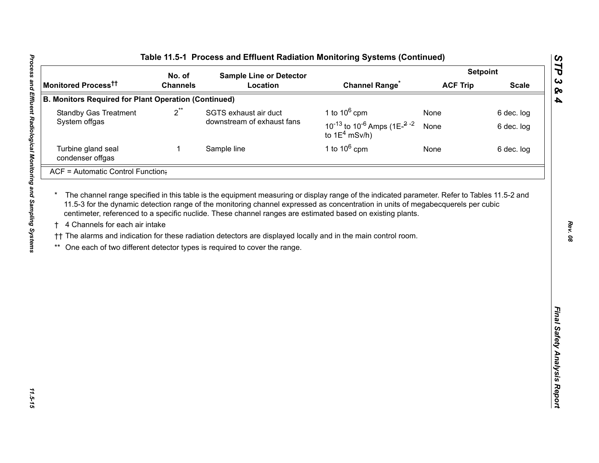|                                                             | No. of          | <b>Sample Line or Detector</b> |                                                                                                             | <b>Setpoint</b> |              |
|-------------------------------------------------------------|-----------------|--------------------------------|-------------------------------------------------------------------------------------------------------------|-----------------|--------------|
| Monitored Process <sup>tt</sup>                             | <b>Channels</b> | Location                       | <b>Channel Range<sup>*</sup></b>                                                                            | <b>ACF Trip</b> | <b>Scale</b> |
| <b>B. Monitors Required for Plant Operation (Continued)</b> |                 |                                |                                                                                                             |                 |              |
| $2^{**}$<br><b>Standby Gas Treatment</b>                    |                 | SGTS exhaust air duct          | 1 to $10^6$ cpm                                                                                             | None            | 6 dec. log   |
| System offgas                                               |                 | downstream of exhaust fans     | 10 <sup>-13</sup> to 10 <sup>-6</sup> Amps (1E <sup><math>-2</math></sup> <sup>-2</sup><br>to $1E^4$ mSv/h) | None            | 6 dec. log   |
| Turbine gland seal<br>condenser offgas                      | $\mathbf 1$     | Sample line                    | 1 to $10^6$ cpm                                                                                             | None            | 6 dec. log   |
| ACF = Automatic Control Function;                           |                 |                                |                                                                                                             |                 |              |
|                                                             |                 |                                |                                                                                                             |                 |              |

*Rev. 08*

*STP 3 & 4*

11.5-15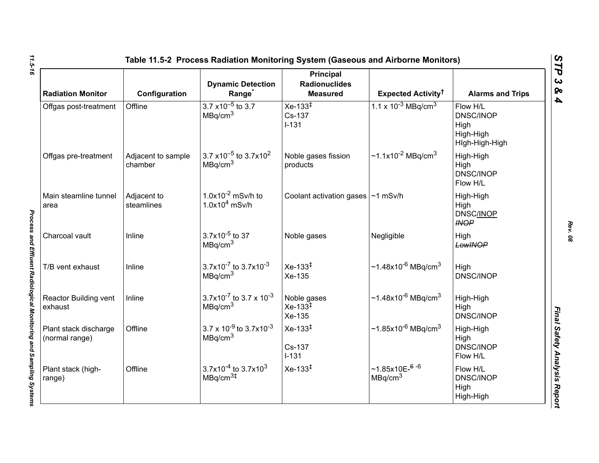| <b>Radiation Monitor</b>                | Configuration                 | <b>Dynamic Detection</b><br>Range <sup>*</sup>                      | <b>Principal</b><br><b>Radionuclides</b><br><b>Measured</b> | Expected Activity <sup>†</sup>                     | <b>Alarms and Trips</b>                                             |
|-----------------------------------------|-------------------------------|---------------------------------------------------------------------|-------------------------------------------------------------|----------------------------------------------------|---------------------------------------------------------------------|
| Offgas post-treatment                   | Offline                       | $3.7 \times 10^{-5}$ to 3.7<br>MBq/cm <sup>3</sup>                  | $Xe-133^{\ddagger}$<br>Cs-137<br>$I-131$                    | 1.1 x $10^{-3}$ MBq/cm <sup>3</sup>                | Flow H/L<br><b>DNSC/INOP</b><br>High<br>High-High<br>High-High-High |
| Offgas pre-treatment                    | Adjacent to sample<br>chamber | $3.7 \times 10^{-5}$ to 3.7x10 <sup>2</sup><br>MBq/cm <sup>3</sup>  | Noble gases fission<br>products                             | ~1.1x10 <sup>-2</sup> MBq/cm <sup>3</sup>          | High-High<br>High<br><b>DNSC/INOP</b><br>Flow H/L                   |
| Main steamline tunnel<br>area           | Adjacent to<br>steamlines     | $1.0x10^{-2}$ mSv/h to<br>$1.0x104$ mSv/h                           | Coolant activation gases   ~1 mSv/h                         |                                                    | High-High<br>High<br><b>DNSC/INOP</b><br><b>INOP</b>                |
| Charcoal vault                          | Inline                        | $3.7x10^{-5}$ to 37<br>MBq/cm <sup>3</sup>                          | Noble gases                                                 | Negligible                                         | High<br>LowINOP                                                     |
| T/B vent exhaust                        | Inline                        | $3.7x10^{-7}$ to $3.7x10^{-3}$<br>MBq/cm <sup>3</sup>               | $Xe-133^{1}$<br>Xe-135                                      | $~1.48x10^{-6}$ MBq/cm <sup>3</sup>                | High<br><b>DNSC/INOP</b>                                            |
| Reactor Building vent<br>exhaust        | Inline                        | $3.7x10^{-7}$ to 3.7 x 10 <sup>-3</sup><br>MBq/cm <sup>3</sup>      | Noble gases<br>$Xe-133^{\frac{1}{4}}$<br>Xe-135             | ~1.48x10 <sup>-6</sup> MBq/cm <sup>3</sup>         | High-High<br>High<br><b>DNSC/INOP</b>                               |
| Plant stack discharge<br>(normal range) | Offline                       | $3.7 \times 10^{-9}$ to 3.7x10 <sup>-3</sup><br>MBq/cm <sup>3</sup> | $Xe-133^{1}$<br>Cs-137<br>$I-131$                           | $\sim$ 1.85x10 <sup>-6</sup> MBq/cm <sup>3</sup>   | High-High<br>High<br><b>DNSC/INOP</b><br>Flow H/L                   |
| Plant stack (high-<br>range)            | Offline                       | $3.7x10^{-4}$ to 3.7x10 <sup>3</sup><br>MBq/cm <sup>3#</sup>        | $Xe-133^{1}$                                                | $~1.85x10E-$ <sup>6-6</sup><br>MBq/cm <sup>3</sup> | Flow H/L<br><b>DNSC/INOP</b><br>High<br>High-High                   |

*Rev. 08*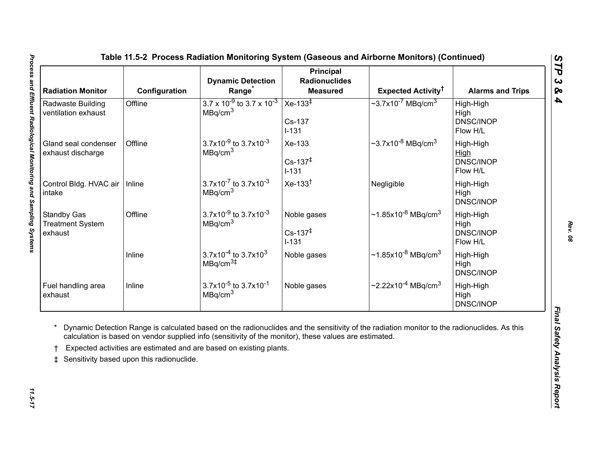<span id="page-16-0"></span>

| <b>Radiation Monitor</b>                                 | Configuration                             | <b>Dynamic Detection</b><br>Range <sup>*</sup>                                                                                                                                | <b>Principal</b><br><b>Radionuclides</b><br><b>Measured</b> | Expected Activity <sup>†</sup>                                                                                                              | <b>Alarms and Trips</b>                    |
|----------------------------------------------------------|-------------------------------------------|-------------------------------------------------------------------------------------------------------------------------------------------------------------------------------|-------------------------------------------------------------|---------------------------------------------------------------------------------------------------------------------------------------------|--------------------------------------------|
| Radwaste Building<br>ventilation exhaust                 | Offline                                   | $3.7 \times 10^{-9}$ to 3.7 x 10 <sup>-3</sup><br>MBq/cm <sup>3</sup>                                                                                                         | Xe-133 $\overline{ }$<br>Cs-137<br>$I-131$                  | $\sim$ 3.7x10 <sup>-7</sup> MBq/cm <sup>3</sup>                                                                                             | High-High<br>High<br>DNSC/INOP<br>Flow H/L |
| Gland seal condenser<br>exhaust discharge                | Offline                                   | 3.7x10 <sup>-9</sup> to 3.7x10 <sup>-3</sup><br>MBq/cm <sup>3</sup>                                                                                                           | Xe-133<br>$Cs - 137^{\ddagger}$<br>$I-131$                  | $\sim$ 3.7x10 <sup>-8</sup> MBq/cm <sup>3</sup>                                                                                             | High-High<br>High<br>DNSC/INOP<br>Flow H/L |
| Control Bldg. HVAC air<br>intake                         | Inline                                    | $3.7x10^{-7}$ to $3.7x10^{-3}$<br>MBq/cm <sup>3</sup>                                                                                                                         | $Xe-133†$                                                   | Negligible                                                                                                                                  | High-High<br>High<br>DNSC/INOP             |
| <b>Standby Gas</b><br><b>Treatment System</b><br>exhaust | Offline                                   | $3.7x10^{-9}$ to $3.7x10^{-3}$<br>MBq/cm <sup>3</sup>                                                                                                                         | Noble gases<br>$Cs - 137^{\ddagger}$<br>$I-131$             | $\sim$ 1.85x10 <sup>-8</sup> MBq/cm <sup>3</sup>                                                                                            | High-High<br>High<br>DNSC/INOP<br>Flow H/L |
|                                                          | Inline                                    | $3.7x10^{-4}$ to 3.7x10 <sup>3</sup><br>MBq/cm <sup>3#</sup>                                                                                                                  | Noble gases                                                 | $\sim$ 1.85x10 <sup>-8</sup> MBq/cm <sup>3</sup>                                                                                            | High-High<br>High<br>DNSC/INOP             |
|                                                          | Inline                                    | $3.7x10^{-5}$ to 3.7x10 <sup>-1</sup><br>MBq/cm <sup>3</sup>                                                                                                                  | Noble gases                                                 | $\sim$ 2.22x10 <sup>-4</sup> MBq/cm <sup>3</sup>                                                                                            | High-High<br>High<br>DNSC/INOP             |
| Fuel handling area<br>exhaust<br>$\ddagger$              | Sensitivity based upon this radionuclide. | calculation is based on vendor supplied info (sensitivity of the monitor), these values are estimated.<br>Expected activities are estimated and are based on existing plants. |                                                             | Dynamic Detection Range is calculated based on the radionuclides and the sensitivity of the radiation monitor to the radionuclides. As this |                                            |